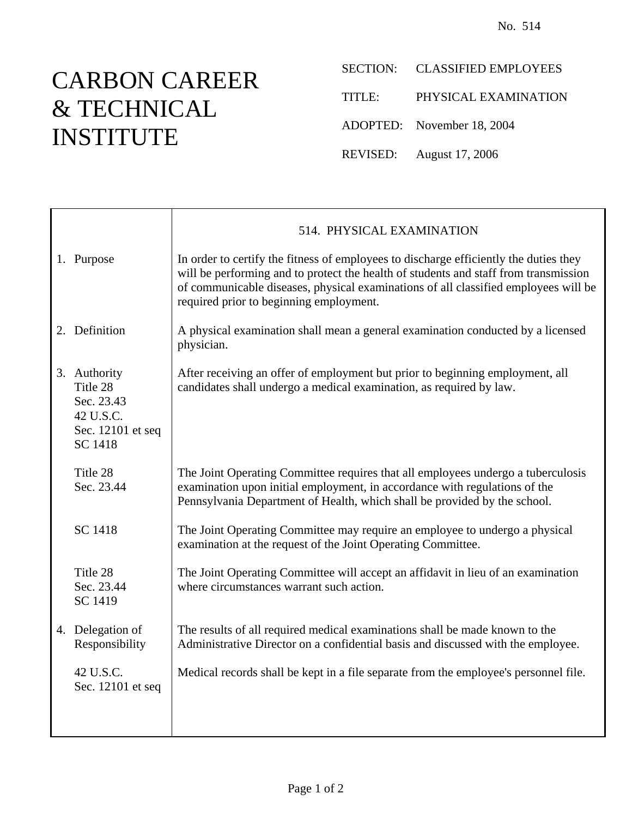## CARBON CAREER & TECHNICAL INSTITUTE

SECTION: CLASSIFIED EMPLOYEES

TITLE: PHYSICAL EXAMINATION

ADOPTED: November 18, 2004

REVISED: August 17, 2006

|                                                                                            | 514. PHYSICAL EXAMINATION                                                                                                                                                                                                                                                                                       |  |  |
|--------------------------------------------------------------------------------------------|-----------------------------------------------------------------------------------------------------------------------------------------------------------------------------------------------------------------------------------------------------------------------------------------------------------------|--|--|
| 1. Purpose                                                                                 | In order to certify the fitness of employees to discharge efficiently the duties they<br>will be performing and to protect the health of students and staff from transmission<br>of communicable diseases, physical examinations of all classified employees will be<br>required prior to beginning employment. |  |  |
| 2. Definition                                                                              | A physical examination shall mean a general examination conducted by a licensed<br>physician.                                                                                                                                                                                                                   |  |  |
| 3. Authority<br>Title 28<br>Sec. 23.43<br>42 U.S.C.<br>Sec. 12101 et seq<br><b>SC 1418</b> | After receiving an offer of employment but prior to beginning employment, all<br>candidates shall undergo a medical examination, as required by law.                                                                                                                                                            |  |  |
| Title 28<br>Sec. 23.44                                                                     | The Joint Operating Committee requires that all employees undergo a tuberculosis<br>examination upon initial employment, in accordance with regulations of the<br>Pennsylvania Department of Health, which shall be provided by the school.                                                                     |  |  |
| <b>SC 1418</b>                                                                             | The Joint Operating Committee may require an employee to undergo a physical<br>examination at the request of the Joint Operating Committee.                                                                                                                                                                     |  |  |
| Title 28<br>Sec. 23.44<br>SC 1419                                                          | The Joint Operating Committee will accept an affidavit in lieu of an examination<br>where circumstances warrant such action.                                                                                                                                                                                    |  |  |
| 4. Delegation of<br>Responsibility                                                         | The results of all required medical examinations shall be made known to the<br>Administrative Director on a confidential basis and discussed with the employee.                                                                                                                                                 |  |  |
| 42 U.S.C.<br>Sec. 12101 et seq                                                             | Medical records shall be kept in a file separate from the employee's personnel file.                                                                                                                                                                                                                            |  |  |
|                                                                                            |                                                                                                                                                                                                                                                                                                                 |  |  |